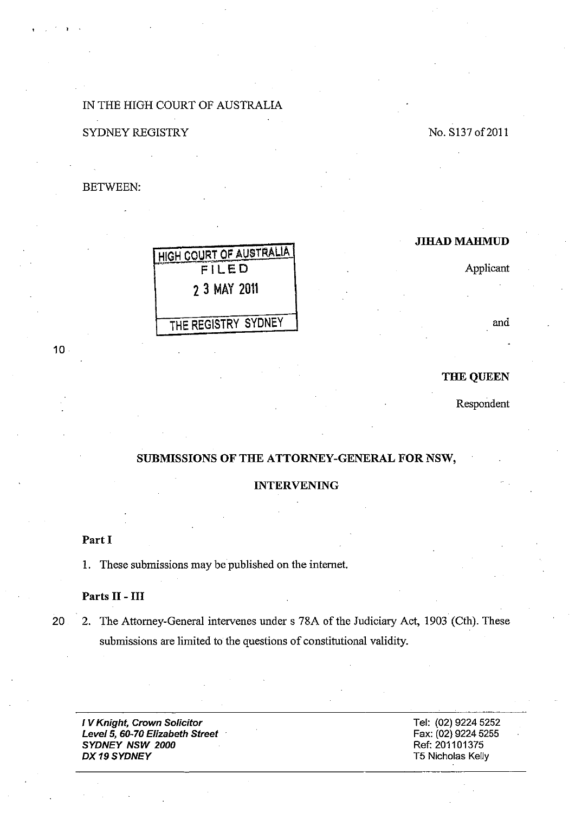## IN THE HIGH COURT OF AUSTRALIA

No. S137 of 2011

### SYDNEY REGISTRY

BETWEEN:

## JIHAD MAHMUD

Applicant

and

### THE QUEEN

Respondent

# SUBMISSIONS OF THE ATTORNEY-GENERAL FOR NSW,

#### INTERVENING

Part I

1. These submissions may be published on the intemet.

HIGH COURT OF AUSTAALlA FILED

2 3 MAY 2011

THE REGISTRY SYDNEY

### Parts 11 - **III**

20 2. The Attorney-General intervenes under s 78A of the Judiciary Act, 1903 (Cth). These submissions are limited to the questions of constitutional validity.

I V Knight, Crown Solicitor Level 5, 60-70 Elizabeth Street SYDNEY NSW 2000 DX 19 SYDNEY

Tel: (02) 9224 5252 Fax: (02) 9224 5255 Ref: 201101375 T5 Nicholas Kelly

 $10<sub>1</sub>$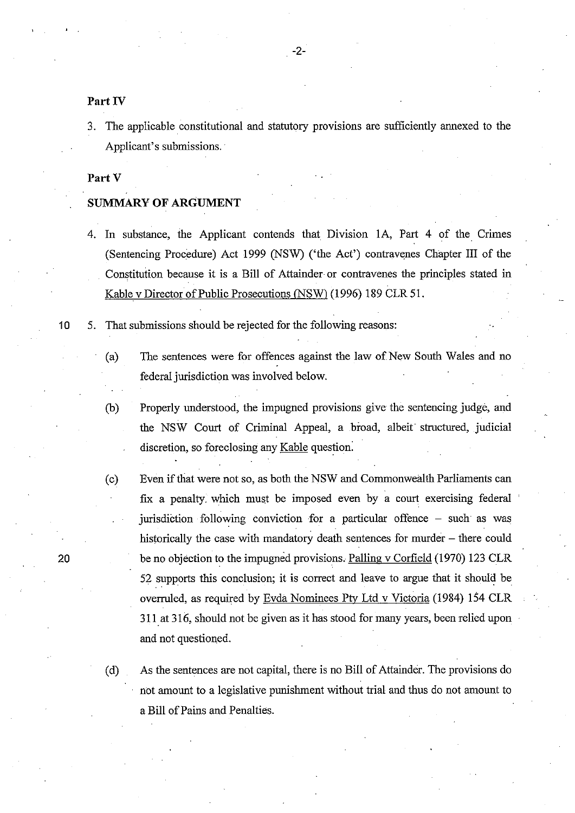Part IV

3. The applicable constitutional and statutory provisions are sufficiently annexed to the Applicant's submissions.

Part V

### **SUMMARY OF ARGUMENT**

- 4. In substance, the Applicant contends that Division lA, Part 4 of the Crimes (Sentencing Procedure) Act 1999 (NSW) ('the Act') contravenes Chapter III of the Constitution because it is a Bill of Attainder or contravenes the principles stated in Kablev Director of Public Prosecutions (NSW) (1996) 189 CLR 51.
- 10 5. That submissions should be rejected for the following reasons:
	- (a) The sentences were for offences against the law of New South Wales and no federal jurisdiction was involved below.
	- (b) Properly understood, the impugned provisions give the sentencing judge, and the NSW Court of Criminal Appeal, a broad, albeit structured, judicial discretion, so foreclosing any Kable question:
	- (c) Even if that were not so, as both the NSW and Commonwealth Parliaments can fix a penalty. which must be imposed even by a court exercising federal jurisdiction following conviction for a particular offence – such as was historically the case with mandatory death sentences for murder - there could be no objection to the impugned provisions. Palling v Corfield (1970) 123 CLR 52 supports this conclusion; it is correct and leave to argue that it should be overruled, as required by Evda Nominees Pty Ltd v Victoria (1984) 154 CLR 311. at 316, should not be given as it has stood for many years, been relied upon and not questioned.

(d) As the sentences are not capital, there is no Bill of Attainder. The provisions do not amount to a legislative punishment without trial and thus do not amount to a Bill of Pains and Penalties.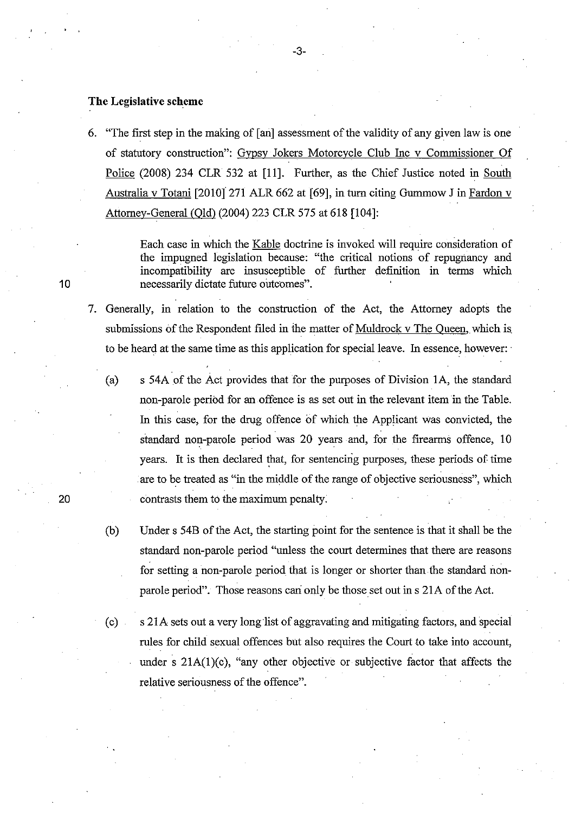#### **The Legislative scheme**

6. "The first step in the making of [ an] assessment of the validity of any given law is one of statutory construction": Gypsy Jokers Motorcycle Club Inc v Commissioner Of Police (2008) 234 CLR 532 at [11]. Further, as the Chief Justice noted in South Australia v Totani [2010]' 271 ALR 662 at [69], in turn citing Gummow J in Fardon v Attorney-General (Old) (2004) 223 CLR 575 at 618 [104]:

-3-

Each case in which the Kable doctrine is invoked will require consideration of the impugned legislation because: "the critical notions of repugnancy and incompatibility are insusceptible of further definition in terms which necessarily dictate future outcomes".

- 7. Generally, in relation to the construction of the Act, the Attorney adopts the submissions of the Respondent filed in the matter of Muldrock v The Queen, which is to be heard at the same time as this application for special leave. In essence, however:
	- (a) s 54A of the Act provides that for the purposes of Division lA, the standard non-parole period for an offence is as set out in the relevant item in the Table. In this case, for the drug offence of which the Applicant was convicted, the standard non-parole period was 20 years and, for the firearms offence, 10 years. It is then declared that, for sentencing purposes, these periods of time are to be treated as "in the middle of the range of objective seriousness", which contrasts them to the maximum penalty;
	- (b) Under s 54B of the Act, the starting point for the sentence is that it shall be the standard non-parole period "unless the court determines that there are reasons for setting a non-parole period that is longer or shorter than the standard nonparole period". Those reasons can only be those set out in s 21A of the Act.
	- (c) s 21A sets out a very long list of aggravating and mitigating factors, and special rules for child sexual offences but also requires the Court to take into account, under s 2IA(1)(c), "any other objective or subjective factor that affects the relative seriousness of the offence".

10

20

. ,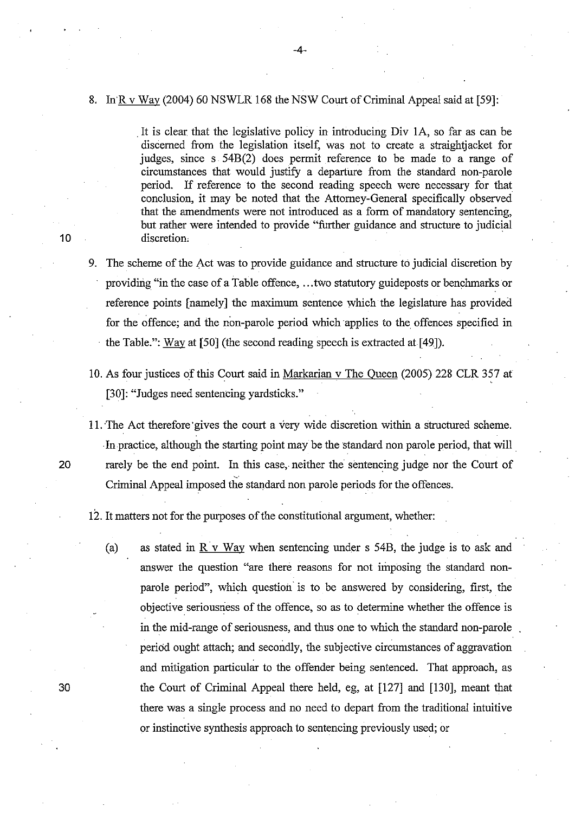#### 8. InR v Way (2004) 60 NSWLR 168 the NSW Court of Criminal Appeal said at [59]:

. It is clear. that the legislative policy in introducing Div lA, so far as can be discerned from the legislation itself, was not to create a straight jacket for judges, since s 54B(2) does permit reference to be made to a range of circumstances that would justify a departure from the standard non-parole period. If reference to the second reading speech were necessary for that conclusion, it may be noted that the Attorney-General specifically observed that the amendments were not introduced as a form of mandatory sentencing, but rather were intended to provide "further guidance and structure to judicial discretion.

- 9. The scheme of the Act was to provide guidance and structure to judicial discretion by providing "in the case of a Table offence, ... two statutory guideposts or benchmarks or reference points [namely] the maximum sentence which the legislature has provided for the offence; and the non-parole period which applies to the offences specified in . the Table.": Way at [50] (the second reading speech is extracted at [49]).
- 10. As four justices of this Court said in Markarian v The Queen (2005) 228 CLR 357 at [30]: "Judges need sentencing yardsticks."
- 11. The Act therefore' gives the court a very wide discretion within a structured scheme . In practice, although the starting point may be the standard non parole period, that will 20 rarely be the end point. In this case, neither the sentencing judge nor the Court of Criminal Appeal imposed the standard non parole periods for the offences.

12. It matters not for the purposes of the constitutional argument, whether:

(a) as stated in  $\overline{R}$  v Way when sentencing under s 54B, the judge is to ask and answer the question "are there reasons for not imposing the standard nonparole period", which question is to be answered by considering, first, the objective seriousness of the offence, so as to determine whether the offence is in the mid-range of seriousness, and thus one to which the standard non-parole period ought attach; and secondly, the subjective circumstances of aggravation and mitigation particular to the offender being sentenced. That approach, as the Court of Criminal Appeal there held, eg, at [127] and [130], meant that there was a single process and no need to depart from the traditional intuitive or instinctive synthesis approach to sentencing previously used; or

10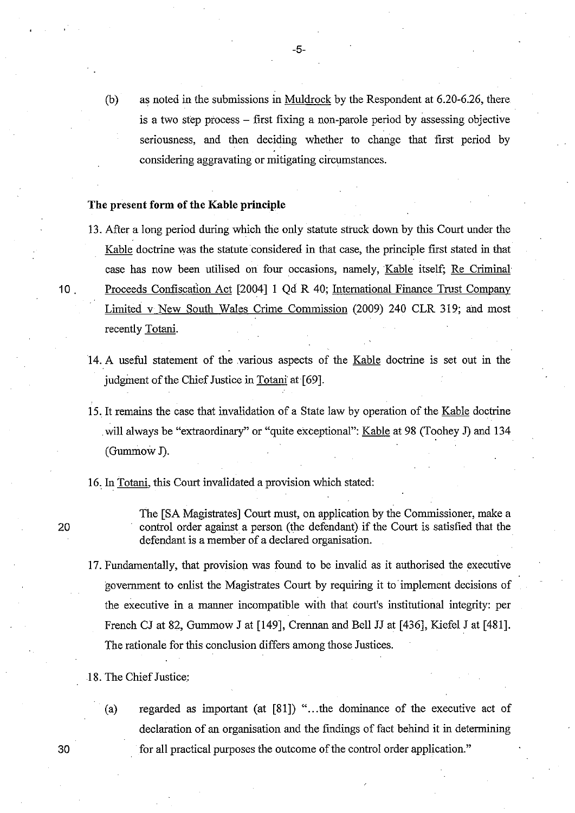(b) as noted in the submissions in Muldrock by the Respondent at 6.20-6.26, there is a two step process - first fixing a non-parole period by assessing objective seriousness, and then deciding whether to change that first period by considering aggravating or mitigating circumstances.

#### **The present form of the Kable principle**

- 13. After a long period during which the only statute struck down by this Court under the Kable doctrine was the statute considered in that case, the principle first stated in that case has now been utilised on four occasions, namely, Kable itself; Re Criminal 10 . Proceeds Confiscation Act [200411 Qd R 40; International Finance Trust Company Limited v New South Wales Crime Commission (2009) 240 CLR 319; and most recently Totani.
	- 14. A useful statement of the various aspects of the Kable doctrine is set out in the judgment of the Chief Justice in Totani at [69].
	- 15. It remains the case that invalidation of a State law by operation of the Kable doctrine . will always be "extraordinary" or "quite exceptional": Kable at 98 (Toohey J) and 134 (Gunrmow J).
	- 16, In Totani, this Court invalidated a provision which stated:

The [SA Magistrates] Court must, on application by the Commissioner, make a control order against a person (the defendant) if the Court is satisfied that the defendant is a member of a declared organisation.

- 17. Fundamentally, that provision was found to be invalid as it authorised the executive govemment to enlist the Magistrates Court by requiring it to· implement decisions of the executive in a manner incompatible with that court's institutional integrity: per French CJ at 82, Gummow J at [149], Crennan and Bell JJ at [436], Kiefel J at [481]. The rationale for this conclusion differs among those Justices.
- 18. The Chief Justice:
	- (a) regarded as important (at  $[81]$ ) "... the dominance of the executive act of declaration of an organisation and the fmdings of fact behind it in determining for all practical purposes the outcome of the control order application."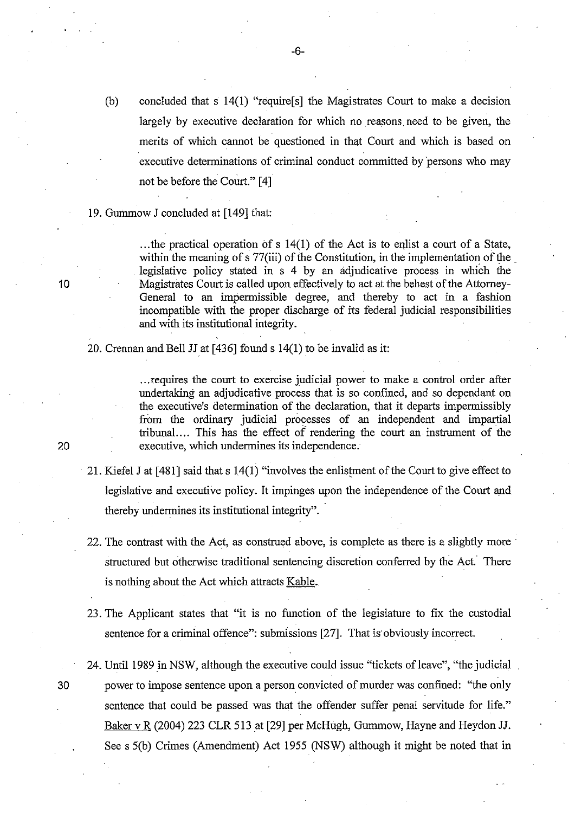(b) concluded that s 14(1) "require[s] the Magistrates Court to make a decision largely by executive declaration for which no reasons need to be given, the merits of which carmot be questioned in that Court and which is based on executive determinations of criminal conduct committed by 'persons who may not be before the Court." [4]

#### 19. Gummow J concluded at [149] that:

... the practical operation of s  $14(1)$  of the Act is to enlist a court of a State, within the meaning of  $\frac{1}{2}$  77(iii) of the Constitution, in the implementation of the legislative policy stated in s 4 by an adjudicative process in which the Magistrates Court is called upon effectively to act at the behest of the Attorney-General to an impermissible degree, and thereby to act in a fashion incompatible with the proper discharge of its federal judicial responsibilities and with its institutional integrity.

20. Crennan and Bell JJ at  $[436]$  found s 14(1) to be invalid as it:

... requires the court to exercise judicial power to make a control order after undertaking an adjudicative process that is so confmed, and so dependant on the executive's determination of the declaration, that it departs impermissibly from the ordinary judicial processes of an independent and impartial tribunal.... This has the effect of rendering the court an instrument of the executive, which undermines its independence.

- 21. Kiefel J at  $[481]$  said that s  $14(1)$  "involves the enlistment of the Court to give effect to legislative and executive policy. It impinges upon the independence of the Court and thereby undermines its institutional integrity".
- 22. The contrast with the Act, as construed above, is complete as there is a slightly more structured but otherwise traditional sentencing discretion conferred by the Act. There is nothing about the Act which attracts Kable.
- 23. The Applicant states that "it is no function of the legislature to fix the custodial sentence for a criminal offence": submissions [27]. That is· obviously incorrect.
- 24. Until 1989 in NSW, although the executive could issue "tickets of leave", "the judicial 30 power to impose sentence upon a person convicted of murder was confmed: "the only sentence that could be passed was that the offender suffer penal servitude for life." Baker v R (2004) 223 CLR 513 at [29] per McHugh, Gummow, Hayne and Heydon JJ. See s 5(b) Crimes (Amendment) Act 1955 (NSW) although it might be noted that in

20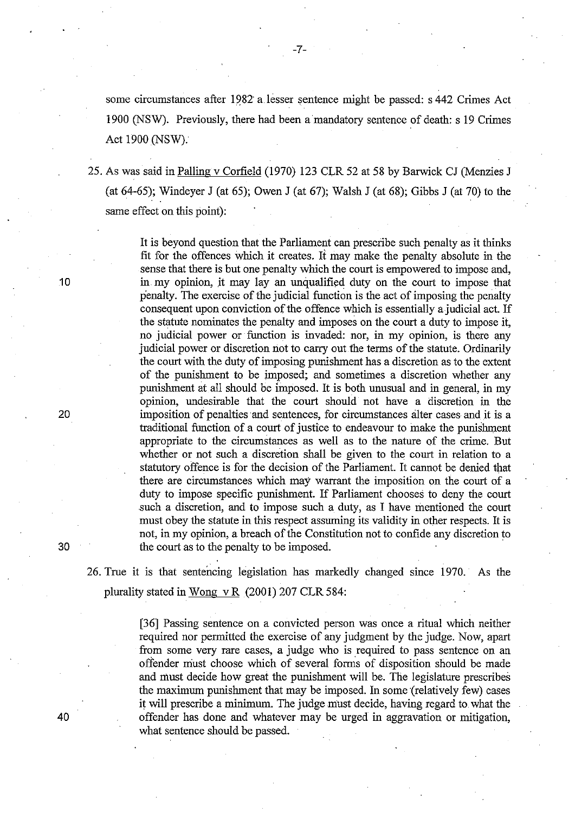some circumstances after 1982 a lesser sentence might be passed: s 442 Crimes Act 1900 (NSW). Previously, there had been a mandatory sentence of death: s 19 Crimes Act 1900 (NSW).

25. As was said in Palling v Corfield (1970) 123 CLR 52 at 58 by Barwick CJ (Menzies J (at 64-65); Windeyer J (at 65); Owen J (at 67); Walsh J (at 68); Gibbs J (at 70) to the same effect on this point):

> It is beyond question that the Parliament can prescribe such penalty as it thinks fit for the offences which it creates. It may make the penalty absolute in the sense that there is but one penalty which the court is empowered to impose and, in my opinion, it may lay an unqualified duty on the court to impose that penalty. The exercise of the judicial function is the act of imposing the penalty consequent upon conviction of the offence which is essentially a judicial act. If the statute nominates the penalty and imposes on the court a duty to impose it, no judicial power or function is invaded: nor, in my opinion, is there any judicial power or discretion not to carry out the terms of the statute. Ordinarily the court with the duty of imposing punishment has a discretion as to the extent of the punishment to be imposed; and sometimes a discretion whether any punishment at all should be imposed. It is both unusual and in general, in my opinion, undesirable that the court should not have a discretion in the imposition of penalties and sentences, for circumstances alter cases and it is a traditional function of a court of justice to endeavour to make the punishment appropriate to the circumstances as well as to the nature of the crime. But whether or not such a discretion shall be given to the court in relation to a statutory offence is for the decision of the Parliament. It carmot be denied that there are circumstances which may warrant the imposition on the court of a duty to impose specific punishment. If Parliament chooses to deny the court such a discretion, and to impose such a duty, as I have mentioned the court must obey the statute in this respect assuming its validity in other respects. It is not, in my opinion, a breach of the Constitution not to confide any discretion to the court as to the penalty to be imposed.

26. True it is that sentencing legislation has markedly changed since 1970.' As the plurality stated in Wong v R $(2001)$  207 CLR 584:

> [36] Passing sentence on a convicted person was once a ritual which neither required nor permitted the exercise of any judgment by the judge. Now, apart from some very rare cases, a judge who is required to pass sentence on an offender must choose which of several forms of disposition should be made and must decide how great the punishment will be. The legislature prescribes the maximum punishment that may be imposed. In some (relatively few) cases it will prescribe a minimum. The judge must decide, having regard to, what the offender has done and whatever may be urged in aggravation or mitigation, what sentence should be passed.

10

20

30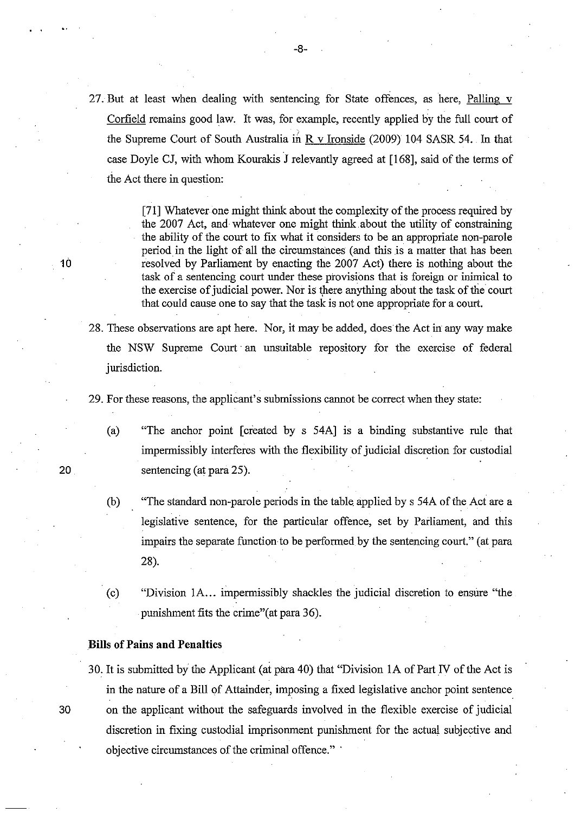27. But at least when dealing with sentencing for State offences, as here, Palling v Corfield remains good law. It was, for example, recently applied by the full court of the Supreme Court of South Australia in  $R$  v Ironside (2009) 104 SASR 54. In that case Doyle CJ, with whom Kourakis J relevantly agreed at [168], said of the terms of the Act there in question:

> [71] Whatever one might think about the complexity of the process required by the 2007 Act, and whatever one might think. about the utility of constraining the ability of the court to fix what it considers to be an appropriate non-parole period in the light of all the circumstances (and this is a matter that has been resolved by Parliament by enacting the 2007 Act) there is nothing about the task of a sentencing court under these provisions that is foreign or inimical to the exercise of judicial power. Nor is there anything about the task of the court that could cause one to say that the task is not one appropriate for a court.

28. These observations are apt here. Nor, it may be added, does the Act in" any way make the NSW Supreme Court" an unsuitable repository for the exercise of federal jurisdiction.

29. For these reasons, the applicant's submissions cannot be correct when they state:

- (a) "The anchor point [created by s 54A] is a binding substantive rule that impermissibly interferes with the flexibility of judicial discretion for custodial sentencing (at para 25).
- (b) "The standard non-parole periods in the table applied by s 54A of the Act are a legislative sentence, for the particular offence, set by Parliament, and this impairs the separate function to be performed by the sentencing court." (at para 28).
- (c) "Division 1A... impermissibly shackles the judicial discretion to ensure "the punishment fits the crime" (at para 36).

#### Bills of Pains and Penalties

30. It is submitted by the Applicant (at para 40) that "Division 1A of Part IV of the Act is in the nature of a Bill of Attainder, imposing a fixed legislative anchor point sentence 30 on the applicant without the safeguards involved in the flexible exercise of judicial discretion in fixing custodial imprisonment punishment for the actual subjective and objective circumstances of the criminal offence." .

10